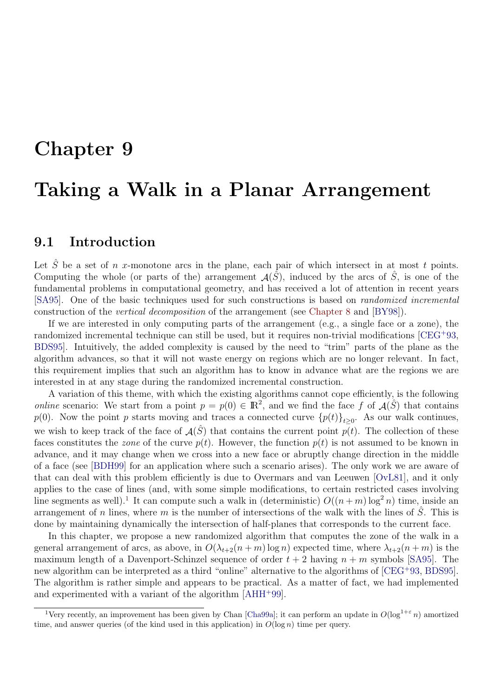# Chapter 9

# Taking a Walk in a Planar Arrangement

# 9.1 Introduction

Let  $\hat{S}$  be a set of n x-monotone arcs in the plane, each pair of which intersect in at most t points. Computing the whole (or parts of the) arrangement  $\mathcal{A}(\tilde{S})$ , induced by the arcs of  $\tilde{S}$ , is one of the fundamental problems in computational geometry, and has received a lot of attention in recent years [SA95]. One of the basic techniques used for such constructions is based on randomized incremental construction of the vertical decomposition of the arrangement (see Chapter 8 and [BY98]).

If we are interested in only computing parts of the arrangement (e.g., a single face or a zone), the randomized incremental technique can still be used, but it requires non-trivial modifications [CEG<sup>+</sup>93, BDS95]. Intuitively, the added complexity is caused by the need to "trim" parts of the plane as the algorithm advances, so that it will not waste energy on regions which are no longer relevant. In fact, this requirement implies that such an algorithm has to know in advance what are the regions we are interested in at any stage during the randomized incremental construction.

A variation of this theme, with which the existing algorithms cannot cope efficiently, is the following *online* scenario: We start from a point  $p = p(0) \in \mathbb{R}^2$ , and we find the face f of  $\mathcal{A}(\hat{S})$  that contains  $p(0)$ . Now the point p starts moving and traces a connected curve  ${p(t)}_{t\geq0}$ . As our walk continues, we wish to keep track of the face of  $\mathcal{A}(\hat{S})$  that contains the current point  $p(t)$ . The collection of these faces constitutes the *zone* of the curve  $p(t)$ . However, the function  $p(t)$  is not assumed to be known in advance, and it may change when we cross into a new face or abruptly change direction in the middle of a face (see [BDH99] for an application where such a scenario arises). The only work we are aware of that can deal with this problem efficiently is due to Overmars and van Leeuwen [OvL81], and it only applies to the case of lines (and, with some simple modifications, to certain restricted cases involving line segments as well).<sup>1</sup> It can compute such a walk in (deterministic)  $O((n+m)\log^2 n)$  time, inside an arrangement of n lines, where m is the number of intersections of the walk with the lines of  $\hat{S}$ . This is done by maintaining dynamically the intersection of half-planes that corresponds to the current face.

In this chapter, we propose a new randomized algorithm that computes the zone of the walk in a general arrangement of arcs, as above, in  $O(\lambda_{t+2}(n+m) \log n)$  expected time, where  $\lambda_{t+2}(n+m)$  is the maximum length of a Davenport-Schinzel sequence of order  $t + 2$  having  $n + m$  symbols [SA95]. The new algorithm can be interpreted as a third "online" alternative to the algorithms of [CEG<sup>+</sup>93, BDS95]. The algorithm is rather simple and appears to be practical. As a matter of fact, we had implemented and experimented with a variant of the algorithm [AHH<sup>+</sup>99].

<sup>&</sup>lt;sup>1</sup>Very recently, an improvement has been given by Chan [Cha99a]; it can perform an update in  $O(\log^{1+\epsilon} n)$  amortized time, and answer queries (of the kind used in this application) in  $O(\log n)$  time per query.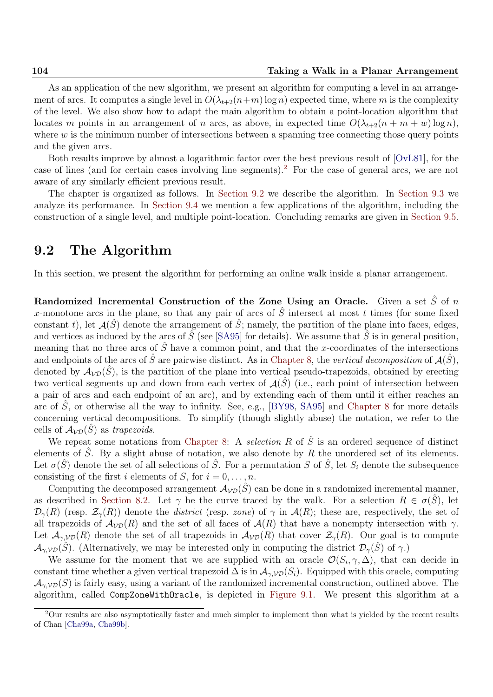As an application of the new algorithm, we present an algorithm for computing a level in an arrangement of arcs. It computes a single level in  $O(\lambda_{t+2}(n+m) \log n)$  expected time, where m is the complexity of the level. We also show how to adapt the main algorithm to obtain a point-location algorithm that locates m points in an arrangement of n arcs, as above, in expected time  $O(\lambda_{t+2}(n + m + w) \log n)$ , where  $w$  is the minimum number of intersections between a spanning tree connecting those query points and the given arcs.

Both results improve by almost a logarithmic factor over the best previous result of [OvL81], for the case of lines (and for certain cases involving line segments).<sup>2</sup> For the case of general arcs, we are not aware of any similarly efficient previous result.

The chapter is organized as follows. In Section 9.2 we describe the algorithm. In Section 9.3 we analyze its performance. In Section 9.4 we mention a few applications of the algorithm, including the construction of a single level, and multiple point-location. Concluding remarks are given in Section 9.5.

## 9.2 The Algorithm

In this section, we present the algorithm for performing an online walk inside a planar arrangement.

Randomized Incremental Construction of the Zone Using an Oracle. Given a set  $\hat{S}$  of n x-monotone arcs in the plane, so that any pair of arcs of  $\hat{S}$  intersect at most t times (for some fixed constant t), let  $\mathcal{A}(\hat{S})$  denote the arrangement of  $\hat{S}$ ; namely, the partition of the plane into faces, edges, and vertices as induced by the arcs of  $\hat{S}$  (see [SA95] for details). We assume that  $\hat{S}$  is in general position, meaning that no three arcs of  $\hat{S}$  have a common point, and that the x-coordinates of the intersections and endpoints of the arcs of  $\hat{S}$  are pairwise distinct. As in Chapter 8, the vertical decomposition of  $\mathcal{A}(\hat{S})$ , denoted by  $A_{\mathcal{VD}}(\hat{S})$ , is the partition of the plane into vertical pseudo-trapezoids, obtained by erecting two vertical segments up and down from each vertex of  $\mathcal{A}(\hat{S})$  (i.e., each point of intersection between a pair of arcs and each endpoint of an arc), and by extending each of them until it either reaches an arc of  $\tilde{S}$ , or otherwise all the way to infinity. See, e.g., [BY98, SA95] and Chapter 8 for more details concerning vertical decompositions. To simplify (though slightly abuse) the notation, we refer to the cells of  $A_{\mathcal{VD}}(\hat{S})$  as trapezoids.

We repeat some notations from Chapter 8: A selection R of  $\hat{S}$  is an ordered sequence of distinct elements of  $\hat{S}$ . By a slight abuse of notation, we also denote by R the unordered set of its elements. Let  $\sigma(\hat{S})$  denote the set of all selections of  $\hat{S}$ . For a permutation S of  $\hat{S}$ , let  $S_i$  denote the subsequence consisting of the first i elements of S, for  $i = 0, \ldots, n$ .

Computing the decomposed arrangement  $\mathcal{A}_{V\mathcal{D}}(\hat{S})$  can be done in a randomized incremental manner, as described in Section 8.2. Let  $\gamma$  be the curve traced by the walk. For a selection  $R \in \sigma(S)$ , let  $\mathcal{D}_{\gamma}(R)$  (resp.  $\mathcal{Z}_{\gamma}(R)$ ) denote the *district* (resp. zone) of  $\gamma$  in  $\mathcal{A}(R)$ ; these are, respectively, the set of all trapezoids of  $\mathcal{A}_{VD}(R)$  and the set of all faces of  $\mathcal{A}(R)$  that have a nonempty intersection with  $\gamma$ . Let  $\mathcal{A}_{\gamma,\mathcal{V}\mathcal{D}}(R)$  denote the set of all trapezoids in  $\mathcal{A}_{\mathcal{V}\mathcal{D}}(R)$  that cover  $\mathcal{Z}_{\gamma}(R)$ . Our goal is to compute  $\mathcal{A}_{\gamma,\mathcal{V}\mathcal{D}}(\hat{S})$ . (Alternatively, we may be interested only in computing the district  $\mathcal{D}_{\gamma}(\hat{S})$  of  $\gamma$ .)

We assume for the moment that we are supplied with an oracle  $\mathcal{O}(S_i, \gamma, \Delta)$ , that can decide in constant time whether a given vertical trapezoid  $\Delta$  is in  $\mathcal{A}_{\gamma, \mathcal{V}(\mathcal{D})}(S_i)$ . Equipped with this oracle, computing  $\mathcal{A}_{\gamma, \mathcal{V}D}(S)$  is fairly easy, using a variant of the randomized incremental construction, outlined above. The algorithm, called CompZoneWithOracle, is depicted in Figure 9.1. We present this algorithm at a

<sup>2</sup>Our results are also asymptotically faster and much simpler to implement than what is yielded by the recent results of Chan [Cha99a, Cha99b].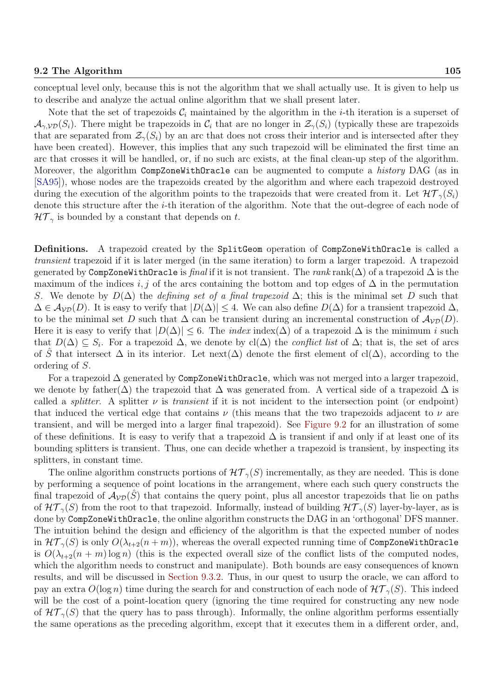Note that the set of trapezoids  $\mathcal{C}_i$  maintained by the algorithm in the *i*-th iteration is a superset of  $\mathcal{A}_{\gamma, \mathcal{V}(\mathcal{S}_i)}$ . There might be trapezoids in  $\mathcal{C}_i$  that are no longer in  $\mathcal{Z}_{\gamma}(S_i)$  (typically these are trapezoids that are separated from  $\mathcal{Z}_{\gamma}(S_i)$  by an arc that does not cross their interior and is intersected after they have been created). However, this implies that any such trapezoid will be eliminated the first time an arc that crosses it will be handled, or, if no such arc exists, at the final clean-up step of the algorithm. Moreover, the algorithm CompZoneWithOracle can be augmented to compute a *history* DAG (as in [SA95]), whose nodes are the trapezoids created by the algorithm and where each trapezoid destroyed during the execution of the algorithm points to the trapezoids that were created from it. Let  $\mathcal{HT}_{\gamma}(S_i)$ denote this structure after the i-th iteration of the algorithm. Note that the out-degree of each node of  $\mathcal{HT}_{\gamma}$  is bounded by a constant that depends on t.

Definitions. A trapezoid created by the SplitGeom operation of CompZoneWithOracle is called a transient trapezoid if it is later merged (in the same iteration) to form a larger trapezoid. A trapezoid generated by CompZoneWithOracle is final if it is not transient. The rank rank( $\Delta$ ) of a trapezoid  $\Delta$  is the maximum of the indices i, j of the arcs containing the bottom and top edges of  $\Delta$  in the permutation S. We denote by  $D(\Delta)$  the *defining set of a final trapezoid*  $\Delta$ ; this is the minimal set D such that  $\Delta \in A_{\mathcal{VD}}(D)$ . It is easy to verify that  $|D(\Delta)| \leq 4$ . We can also define  $D(\Delta)$  for a transient trapezoid  $\Delta$ , to be the minimal set D such that  $\Delta$  can be transient during an incremental construction of  $\mathcal{A}_{\mathcal{VD}}(D)$ . Here it is easy to verify that  $|D(\Delta)| \leq 6$ . The *index* index( $\Delta$ ) of a trapezoid  $\Delta$  is the minimum *i* such that  $D(\Delta) \subseteq S_i$ . For a trapezoid  $\Delta$ , we denote by cl( $\Delta$ ) the *conflict list* of  $\Delta$ ; that is, the set of arcs of S<sup>of</sup> that intersect  $\Delta$  in its interior. Let next( $\Delta$ ) denote the first element of cl( $\Delta$ ), according to the ordering of S.

For a trapezoid  $\Delta$  generated by CompZoneWithOracle, which was not merged into a larger trapezoid, we denote by father( $\Delta$ ) the trapezoid that  $\Delta$  was generated from. A vertical side of a trapezoid  $\Delta$  is called a *splitter*. A splitter  $\nu$  is *transient* if it is not incident to the intersection point (or endpoint) that induced the vertical edge that contains  $\nu$  (this means that the two trapezoids adjacent to  $\nu$  are transient, and will be merged into a larger final trapezoid). See Figure 9.2 for an illustration of some of these definitions. It is easy to verify that a trapezoid  $\Delta$  is transient if and only if at least one of its bounding splitters is transient. Thus, one can decide whether a trapezoid is transient, by inspecting its splitters, in constant time.

The online algorithm constructs portions of  $\mathcal{HT}_{\gamma}(S)$  incrementally, as they are needed. This is done by performing a sequence of point locations in the arrangement, where each such query constructs the final trapezoid of  $A_{V\mathcal{D}}(S)$  that contains the query point, plus all ancestor trapezoids that lie on paths of  $\mathcal{HT}_{\gamma}(S)$  from the root to that trapezoid. Informally, instead of building  $\mathcal{HT}_{\gamma}(S)$  layer-by-layer, as is done by CompZoneWithOracle, the online algorithm constructs the DAG in an 'orthogonal' DFS manner. The intuition behind the design and efficiency of the algorithm is that the expected number of nodes in  $\mathcal{HT}_{\gamma}(S)$  is only  $O(\lambda_{t+2}(n+m))$ , whereas the overall expected running time of CompZoneWithOracle is  $O(\lambda_{t+2}(n+m) \log n)$  (this is the expected overall size of the conflict lists of the computed nodes, which the algorithm needs to construct and manipulate). Both bounds are easy consequences of known results, and will be discussed in Section 9.3.2. Thus, in our quest to usurp the oracle, we can afford to pay an extra  $O(\log n)$  time during the search for and construction of each node of  $\mathcal{HT}_{\gamma}(S)$ . This indeed will be the cost of a point-location query (ignoring the time required for constructing any new node of  $\mathcal{HT}_{\gamma}(S)$  that the query has to pass through). Informally, the online algorithm performs essentially the same operations as the preceding algorithm, except that it executes them in a different order, and,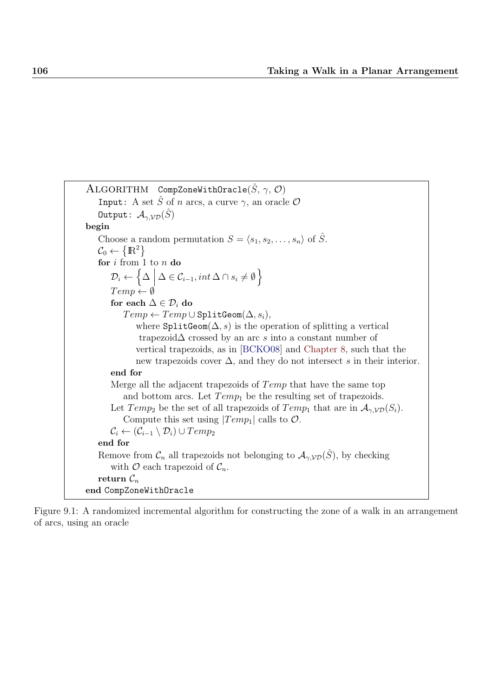```
ALGORITHM CompZoneWithOracle(\hat{S}, \gamma, \mathcal{O})Input: A set \hat{S} of n arcs, a curve \gamma, an oracle \mathcal OOutput: \mathcal{A}_{\gamma, \mathcal{V}\mathcal{D}}(\hat{S})begin
    Choose a random permutation S = \langle s_1, s_2, \ldots, s_n \rangle of \hat{S}.
    \mathcal{C}_0 \leftarrow \left\{ \mathbb{R}^2 \right\}for i from 1 to n do
         D_i \leftarrow\Big\{ \Delta \ \Big|\ \Delta \in \mathcal{C}_{i-1}, int\, \Delta \cap s_i \neq \emptyset \Big\}Temp \leftarrow \emptysetfor each \Delta \in \mathcal{D}_i do
             Temp \leftarrow Temp \cup SplitGeom(\Delta, s_i),where \texttt{SplitGeom}(\Delta, s) is the operation of splitting a vertical
                  trapezoid∆ crossed by an arc s into a constant number of
                 vertical trapezoids, as in [BCKO08] and Chapter 8, such that the
                 new trapezoids cover \Delta, and they do not intersect s in their interior.
        end for
        Merge all the adjacent trapezoids of Temp that have the same top
             and bottom arcs. Let Temp_1 be the resulting set of trapezoids.
        Let Temp_2 be the set of all trapezoids of Temp_1 that are in \mathcal{A}_{\gamma, \mathcal{VD}}(S_i).
             Compute this set using |Temp_1| calls to \mathcal{O}.
        \mathcal{C}_i \leftarrow (\mathcal{C}_{i-1} \setminus \mathcal{D}_i) \cup Temp_2end for
    Remove from \mathcal{C}_n all trapezoids not belonging to \mathcal{A}_{\gamma,\mathcal{VD}}(\hat{S}), by checking
        with \mathcal O each trapezoid of \mathcal C_n.
    return \mathcal{C}_nend CompZoneWithOracle
```
Figure 9.1: A randomized incremental algorithm for constructing the zone of a walk in an arrangement of arcs, using an oracle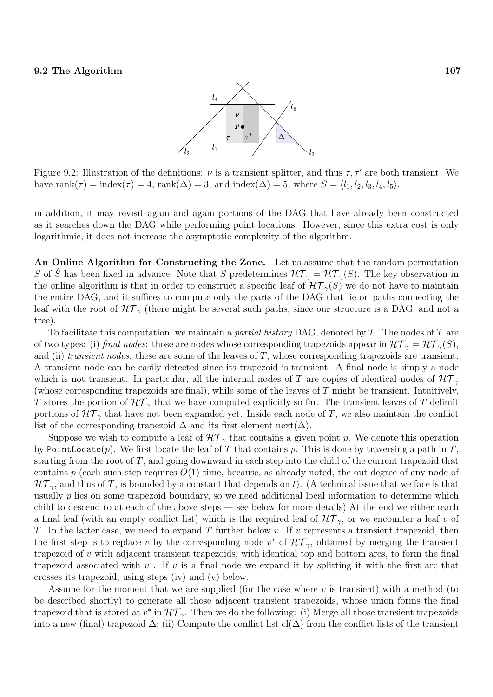

Figure 9.2: Illustration of the definitions:  $\nu$  is a transient splitter, and thus  $\tau$ ,  $\tau'$  are both transient. We have rank $(\tau) = \text{index}(\tau) = 4$ , rank $(\Delta) = 3$ , and  $\text{index}(\Delta) = 5$ , where  $S = \langle l_1, l_2, l_3, l_4, l_5 \rangle$ .

in addition, it may revisit again and again portions of the DAG that have already been constructed as it searches down the DAG while performing point locations. However, since this extra cost is only logarithmic, it does not increase the asymptotic complexity of the algorithm.

An Online Algorithm for Constructing the Zone. Let us assume that the random permutation S of S<sup>of</sup> has been fixed in advance. Note that S predetermines  $\mathcal{HT}_{\gamma} = \mathcal{HT}_{\gamma}(S)$ . The key observation in the online algorithm is that in order to construct a specific leaf of  $\mathcal{HT}_{\gamma}(S)$  we do not have to maintain the entire DAG, and it suffices to compute only the parts of the DAG that lie on paths connecting the leaf with the root of  $HT_{\gamma}$  (there might be several such paths, since our structure is a DAG, and not a tree).

To facilitate this computation, we maintain a *partial history* DAG, denoted by  $T$ . The nodes of  $T$  are of two types: (i) final nodes: those are nodes whose corresponding trapezoids appear in  $\mathcal{HT}_{\gamma} = \mathcal{HT}_{\gamma}(S)$ , and (ii) transient nodes: these are some of the leaves of  $T$ , whose corresponding trapezoids are transient. A transient node can be easily detected since its trapezoid is transient. A final node is simply a node which is not transient. In particular, all the internal nodes of T are copies of identical nodes of  $\mathcal{HT}_{\gamma}$ (whose corresponding trapezoids are final), while some of the leaves of T might be transient. Intuitively, T stores the portion of  $\mathcal{HT}_{\gamma}$  that we have computed explicitly so far. The transient leaves of T delimit portions of  $\mathcal{HT}_{\gamma}$  that have not been expanded yet. Inside each node of T, we also maintain the conflict list of the corresponding trapezoid  $\Delta$  and its first element next( $\Delta$ ).

Suppose we wish to compute a leaf of  $\mathcal{HT}_{\gamma}$  that contains a given point p. We denote this operation by PointLocate(p). We first locate the leaf of T that contains p. This is done by traversing a path in T, starting from the root of  $T$ , and going downward in each step into the child of the current trapezoid that contains  $p$  (each such step requires  $O(1)$  time, because, as already noted, the out-degree of any node of  $\mathcal{HT}_{\gamma}$ , and thus of T, is bounded by a constant that depends on t). (A technical issue that we face is that usually  $p$  lies on some trapezoid boundary, so we need additional local information to determine which child to descend to at each of the above steps — see below for more details) At the end we either reach a final leaf (with an empty conflict list) which is the required leaf of  $\mathcal{HT}_{\gamma}$ , or we encounter a leaf v of T. In the latter case, we need to expand T further below v. If v represents a transient trapezoid, then the first step is to replace v by the corresponding node  $v^*$  of  $\mathcal{HT}_{\gamma}$ , obtained by merging the transient trapezoid of  $v$  with adjacent transient trapezoids, with identical top and bottom arcs, to form the final trapezoid associated with  $v^*$ . If v is a final node we expand it by splitting it with the first arc that crosses its trapezoid, using steps (iv) and (v) below.

Assume for the moment that we are supplied (for the case where  $v$  is transient) with a method (to be described shortly) to generate all those adjacent transient trapezoids, whose union forms the final trapezoid that is stored at  $v^*$  in  $\mathcal{HT}_{\gamma}$ . Then we do the following: (i) Merge all those transient trapezoids into a new (final) trapezoid  $\Delta$ ; (ii) Compute the conflict list cl( $\Delta$ ) from the conflict lists of the transient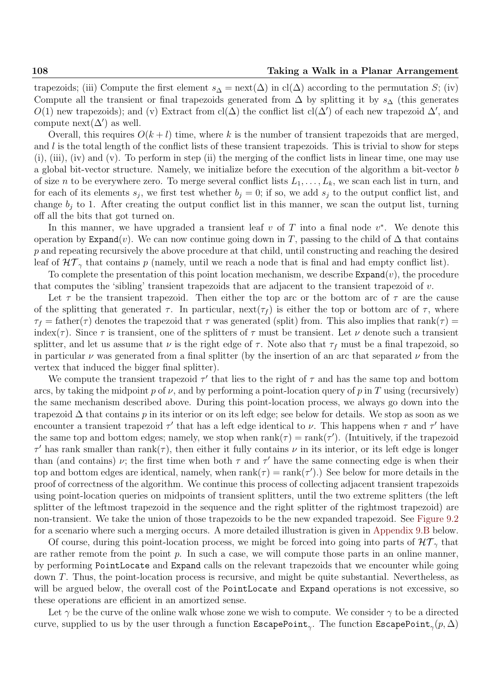trapezoids; (iii) Compute the first element  $s_{\Delta} = \text{next}(\Delta)$  in cl( $\Delta$ ) according to the permutation S; (iv) Compute all the transient or final trapezoids generated from  $\Delta$  by splitting it by  $s_{\Delta}$  (this generates O(1) new trapezoids); and (v) Extract from  $cl(\Delta)$  the conflict list  $cl(\Delta')$  of each new trapezoid  $\Delta'$ , and compute next( $\Delta'$ ) as well.

Overall, this requires  $O(k+l)$  time, where k is the number of transient trapezoids that are merged, and l is the total length of the conflict lists of these transient trapezoids. This is trivial to show for steps (i), (iii), (iv) and (v). To perform in step (ii) the merging of the conflict lists in linear time, one may use a global bit-vector structure. Namely, we initialize before the execution of the algorithm a bit-vector b of size n to be everywhere zero. To merge several conflict lists  $L_1, \ldots, L_k$ , we scan each list in turn, and for each of its elements  $s_j$ , we first test whether  $b_j = 0$ ; if so, we add  $s_j$  to the output conflict list, and change  $b_i$  to 1. After creating the output conflict list in this manner, we scan the output list, turning off all the bits that got turned on.

In this manner, we have upgraded a transient leaf  $v$  of  $T$  into a final node  $v^*$ . We denote this operation by Expand(v). We can now continue going down in T, passing to the child of  $\Delta$  that contains p and repeating recursively the above procedure at that child, until constructing and reaching the desired leaf of  $\mathcal{HT}_{\gamma}$  that contains p (namely, until we reach a node that is final and had empty conflict list).

To complete the presentation of this point location mechanism, we describe  $\texttt{Expand}(v)$ , the procedure that computes the 'sibling' transient trapezoids that are adjacent to the transient trapezoid of  $v$ .

Let  $\tau$  be the transient trapezoid. Then either the top arc or the bottom arc of  $\tau$  are the cause of the splitting that generated  $\tau$ . In particular, next( $\tau_f$ ) is either the top or bottom arc of  $\tau$ , where  $\tau_f$  = father( $\tau$ ) denotes the trapezoid that  $\tau$  was generated (split) from. This also implies that rank( $\tau$ ) = index( $\tau$ ). Since  $\tau$  is transient, one of the splitters of  $\tau$  must be transient. Let  $\nu$  denote such a transient splitter, and let us assume that  $\nu$  is the right edge of  $\tau$ . Note also that  $\tau_f$  must be a final trapezoid, so in particular  $\nu$  was generated from a final splitter (by the insertion of an arc that separated  $\nu$  from the vertex that induced the bigger final splitter).

We compute the transient trapezoid  $\tau'$  that lies to the right of  $\tau$  and has the same top and bottom arcs, by taking the midpoint p of  $\nu$ , and by performing a point-location query of p in T using (recursively) the same mechanism described above. During this point-location process, we always go down into the trapezoid  $\Delta$  that contains p in its interior or on its left edge; see below for details. We stop as soon as we encounter a transient trapezoid  $\tau'$  that has a left edge identical to  $\nu$ . This happens when  $\tau$  and  $\tau'$  have the same top and bottom edges; namely, we stop when  $rank(\tau) = rank(\tau')$ . (Intuitively, if the trapezoid  $\tau'$  has rank smaller than  $rank(\tau)$ , then either it fully contains  $\nu$  in its interior, or its left edge is longer than (and contains)  $\nu$ ; the first time when both  $\tau$  and  $\tau'$  have the same connecting edge is when their top and bottom edges are identical, namely, when  $rank(\tau) = rank(\tau')$ .) See below for more details in the proof of correctness of the algorithm. We continue this process of collecting adjacent transient trapezoids using point-location queries on midpoints of transient splitters, until the two extreme splitters (the left splitter of the leftmost trapezoid in the sequence and the right splitter of the rightmost trapezoid) are non-transient. We take the union of those trapezoids to be the new expanded trapezoid. See Figure 9.2 for a scenario where such a merging occurs. A more detailed illustration is given in Appendix 9.B below.

Of course, during this point-location process, we might be forced into going into parts of  $\mathcal{HT}_{\gamma}$  that are rather remote from the point  $p$ . In such a case, we will compute those parts in an online manner, by performing PointLocate and Expand calls on the relevant trapezoids that we encounter while going down T. Thus, the point-location process is recursive, and might be quite substantial. Nevertheless, as will be argued below, the overall cost of the PointLocate and Expand operations is not excessive, so these operations are efficient in an amortized sense.

Let  $\gamma$  be the curve of the online walk whose zone we wish to compute. We consider  $\gamma$  to be a directed curve, supplied to us by the user through a function  $\texttt{EscapePoint}_\gamma.$  The function  $\texttt{EscapePoint}_\gamma(p, \Delta)$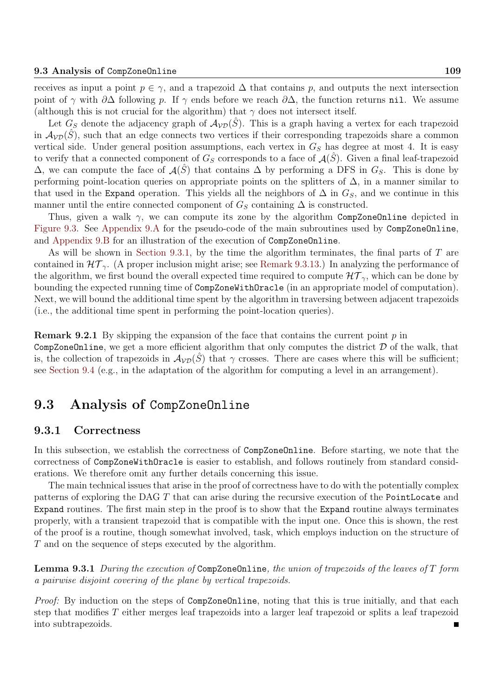receives as input a point  $p \in \gamma$ , and a trapezoid  $\Delta$  that contains p, and outputs the next intersection point of  $\gamma$  with  $\partial\Delta$  following p. If  $\gamma$  ends before we reach  $\partial\Delta$ , the function returns nil. We assume (although this is not crucial for the algorithm) that  $\gamma$  does not intersect itself.

Let  $G_S$  denote the adjacency graph of  $A_{VD}(\hat{S})$ . This is a graph having a vertex for each trapezoid in  $\mathcal{A}_{VD}(\tilde{S})$ , such that an edge connects two vertices if their corresponding trapezoids share a common vertical side. Under general position assumptions, each vertex in  $G<sub>S</sub>$  has degree at most 4. It is easy to verify that a connected component of  $G_S$  corresponds to a face of  $\mathcal{A}(\hat{S})$ . Given a final leaf-trapezoid  $\Delta$ , we can compute the face of  $\mathcal{A}(\hat{S})$  that contains  $\Delta$  by performing a DFS in  $G_S$ . This is done by performing point-location queries on appropriate points on the splitters of  $\Delta$ , in a manner similar to that used in the Expand operation. This yields all the neighbors of  $\Delta$  in  $G_S$ , and we continue in this manner until the entire connected component of  $G_S$  containing  $\Delta$  is constructed.

Thus, given a walk  $\gamma$ , we can compute its zone by the algorithm CompZoneOnline depicted in Figure 9.3. See Appendix 9.A for the pseudo-code of the main subroutines used by CompZoneOnline, and Appendix 9.B for an illustration of the execution of CompZoneOnline.

As will be shown in Section 9.3.1, by the time the algorithm terminates, the final parts of T are contained in  $\mathcal{HT}_{\gamma}$ . (A proper inclusion might arise; see Remark 9.3.13.) In analyzing the performance of the algorithm, we first bound the overall expected time required to compute  $\mathcal{HT}_{\gamma}$ , which can be done by bounding the expected running time of CompZoneWithOracle (in an appropriate model of computation). Next, we will bound the additional time spent by the algorithm in traversing between adjacent trapezoids (i.e., the additional time spent in performing the point-location queries).

**Remark 9.2.1** By skipping the expansion of the face that contains the current point  $p$  in CompZoneOnline, we get a more efficient algorithm that only computes the district  $D$  of the walk, that is, the collection of trapezoids in  $\mathcal{A}_{VD}(\hat{S})$  that  $\gamma$  crosses. There are cases where this will be sufficient; see Section 9.4 (e.g., in the adaptation of the algorithm for computing a level in an arrangement).

## 9.3 Analysis of CompZoneOnline

## 9.3.1 Correctness

In this subsection, we establish the correctness of CompZoneOnline. Before starting, we note that the correctness of CompZoneWithOracle is easier to establish, and follows routinely from standard considerations. We therefore omit any further details concerning this issue.

The main technical issues that arise in the proof of correctness have to do with the potentially complex patterns of exploring the DAG T that can arise during the recursive execution of the PointLocate and Expand routines. The first main step in the proof is to show that the Expand routine always terminates properly, with a transient trapezoid that is compatible with the input one. Once this is shown, the rest of the proof is a routine, though somewhat involved, task, which employs induction on the structure of T and on the sequence of steps executed by the algorithm.

**Lemma 9.3.1** During the execution of CompZoneOnline, the union of trapezoids of the leaves of  $T$  form a pairwise disjoint covering of the plane by vertical trapezoids.

Proof: By induction on the steps of CompZoneOnline, noting that this is true initially, and that each step that modifies T either merges leaf trapezoids into a larger leaf trapezoid or splits a leaf trapezoid into subtrapezoids.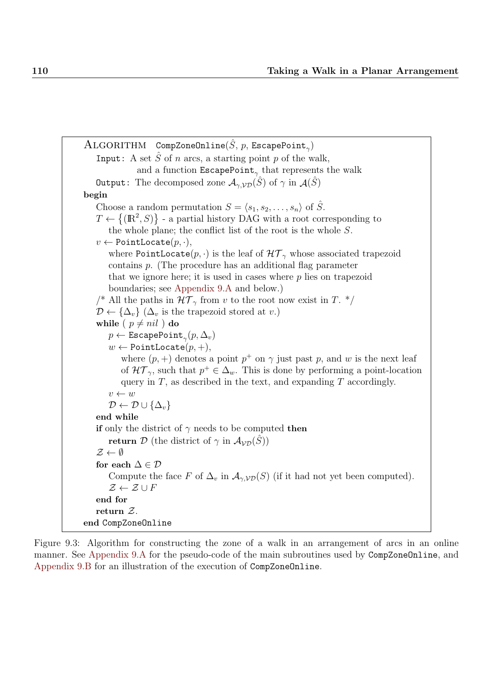```
\mathrm{ALGORITHM} CompZoneOnline(\hat{S},\,p,\,\texttt{EscapePoint}_\gamma)Input: A set \hat{S} of n arcs, a starting point p of the walk,
                 and a function EscapePoint<sub>γ</sub> that represents the walk
   Output: The decomposed zone \mathcal{A}_{\gamma, \mathcal{VD}}(\hat{S}) of \gamma in \mathcal{A}(\hat{S})begin
    Choose a random permutation S = \langle s_1, s_2, \ldots, s_n \rangle of \tilde{S}.
    T \leftarrow \{(\mathbb{R}^2, S)\} - a partial history DAG with a root corresponding to
        the whole plane; the conflict list of the root is the whole S.
   v \leftarrow PointLocate(p, \cdot),where PointLocate(p, \cdot) is the leaf of \mathcal{HT}_{\gamma} whose associated trapezoid
        contains p. (The procedure has an additional flag parameter
        that we ignore here; it is used in cases where p lies on trapezoid
        boundaries; see Appendix 9.A and below.)
    /* All the paths in \mathcal{HT}_{\gamma} from v to the root now exist in T. */
   \mathcal{D} \leftarrow {\{\Delta_v\}} (\Delta_v is the trapezoid stored at v.)
   while ( p \neq nil ) do
        p \leftarrow \texttt{EscapePoint}_\gamma(p, \Delta_v)w \leftarrow PointLocate(p, +),
            where (p, +) denotes a point p^+ on \gamma just past p, and w is the next leaf
            of \mathcal{HT}_{\gamma}, such that p^+ \in \Delta_w. This is done by performing a point-location
            query in T, as described in the text, and expanding T accordingly.
        v \leftarrow w\mathcal{D} \leftarrow \mathcal{D} \cup {\{\Delta_v\}}end while
   if only the district of \gamma needs to be computed then
        return D (the district of \gamma in \mathcal{A}_{\mathcal{VD}}(\tilde{S}))
    \mathcal{Z} \leftarrow \emptysetfor each \Delta \in \mathcal{D}Compute the face F of \Delta_v in \mathcal{A}_{\gamma, \mathcal{V}\mathcal{D}}(S) (if it had not yet been computed).
        \mathcal{Z} \leftarrow \mathcal{Z} \cup Fend for
   return Z.
end CompZoneOnline
```
Figure 9.3: Algorithm for constructing the zone of a walk in an arrangement of arcs in an online manner. See Appendix 9.A for the pseudo-code of the main subroutines used by CompZoneOnline, and Appendix 9.B for an illustration of the execution of CompZoneOnline.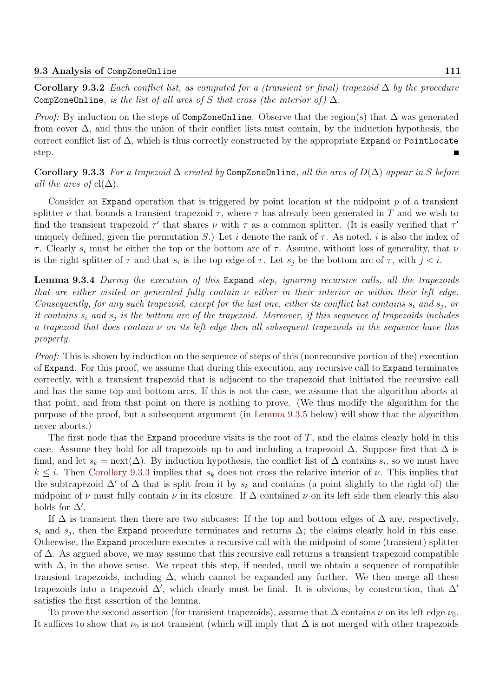Corollary 9.3.2 Each conflict list, as computed for a (transient or final) trapezoid  $\Delta$  by the procedure CompZoneOnline, is the list of all arcs of S that cross (the interior of)  $\Delta$ .

*Proof:* By induction on the steps of CompZoneOnline. Observe that the region(s) that  $\Delta$  was generated from cover  $\Delta$ , and thus the union of their conflict lists must contain, by the induction hypothesis, the correct conflict list of  $\Delta$ , which is thus correctly constructed by the appropriate Expand or PointLocate step.

Corollary 9.3.3 For a trapezoid  $\Delta$  created by CompZoneOnline, all the arcs of  $D(\Delta)$  appear in S before all the arcs of  $cl(\Delta)$ .

Consider an Expand operation that is triggered by point location at the midpoint  $p$  of a transient splitter  $\nu$  that bounds a transient trapezoid  $\tau$ , where  $\tau$  has already been generated in T and we wish to find the transient trapezoid  $\tau'$  that shares  $\nu$  with  $\tau$  as a common splitter. (It is easily verified that  $\tau'$ uniquely defined, given the permutation S.) Let i denote the rank of  $\tau$ . As noted, i is also the index of τ. Clearly  $s_i$  must be either the top or the bottom arc of τ. Assume, without loss of generality, that  $ν$ is the right splitter of  $\tau$  and that  $s_i$  is the top edge of  $\tau$ . Let  $s_j$  be the bottom arc of  $\tau$ , with  $j < i$ .

Lemma 9.3.4 During the execution of this Expand step, ignoring recursive calls, all the trapezoids that are either visited or generated fully contain  $\nu$  either in their interior or within their left edge. Consequently, for any such trapezoid, except for the last one, either its conflict list contains  $s_i$  and  $s_j$ , or it contains  $s_i$  and  $s_j$  is the bottom arc of the trapezoid. Moreover, if this sequence of trapezoids includes a trapezoid that does contain  $\nu$  on its left edge then all subsequent trapezoids in the sequence have this property.

Proof: This is shown by induction on the sequence of steps of this (nonrecursive portion of the) execution of Expand. For this proof, we assume that during this execution, any recursive call to Expand terminates correctly, with a transient trapezoid that is adjacent to the trapezoid that initiated the recursive call and has the same top and bottom arcs. If this is not the case, we assume that the algorithm aborts at that point, and from that point on there is nothing to prove. (We thus modify the algorithm for the purpose of the proof, but a subsequent argument (in Lemma 9.3.5 below) will show that the algorithm never aborts.)

The first node that the Expand procedure visits is the root of  $T$ , and the claims clearly hold in this case. Assume they hold for all trapezoids up to and including a trapezoid  $\Delta$ . Suppose first that  $\Delta$  is final, and let  $s_k = \text{next}(\Delta)$ . By induction hypothesis, the conflict list of  $\Delta$  contains  $s_i$ , so we must have  $k \leq i$ . Then Corollary 9.3.3 implies that  $s_k$  does not cross the relative interior of  $\nu$ . This implies that the subtrapezoid  $\Delta'$  of  $\Delta$  that is split from it by  $s_k$  and contains (a point slightly to the right of) the midpoint of  $\nu$  must fully contain  $\nu$  in its closure. If  $\Delta$  contained  $\nu$  on its left side then clearly this also holds for  $\Delta'$ .

If  $\Delta$  is transient then there are two subcases: If the top and bottom edges of  $\Delta$  are, respectively,  $s_i$  and  $s_j$ , then the Expand procedure terminates and returns  $\Delta$ ; the claims clearly hold in this case. Otherwise, the Expand procedure executes a recursive call with the midpoint of some (transient) splitter of ∆. As argued above, we may assume that this recursive call returns a transient trapezoid compatible with  $\Delta$ , in the above sense. We repeat this step, if needed, until we obtain a sequence of compatible transient trapezoids, including  $\Delta$ , which cannot be expanded any further. We then merge all these trapezoids into a trapezoid  $\Delta'$ , which clearly must be final. It is obvious, by construction, that  $\Delta'$ satisfies the first assertion of the lemma.

To prove the second assertion (for transient trapezoids), assume that  $\Delta$  contains  $\nu$  on its left edge  $\nu_0$ . It suffices to show that  $\nu_0$  is not transient (which will imply that  $\Delta$  is not merged with other trapezoids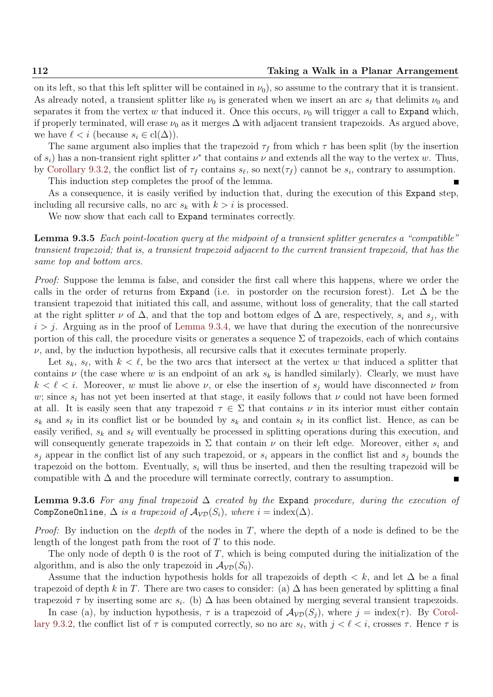on its left, so that this left splitter will be contained in  $\nu_0$ , so assume to the contrary that it is transient. As already noted, a transient splitter like  $\nu_0$  is generated when we insert an arc  $s_\ell$  that delimits  $\nu_0$  and separates it from the vertex w that induced it. Once this occurs,  $\nu_0$  will trigger a call to Expand which, if properly terminated, will erase  $\nu_0$  as it merges  $\Delta$  with adjacent transient trapezoids. As argued above, we have  $\ell < i$  (because  $s_i \in \text{cl}(\Delta)$ ).

The same argument also implies that the trapezoid  $\tau_f$  from which  $\tau$  has been split (by the insertion of  $s_i$ ) has a non-transient right splitter  $\nu^*$  that contains  $\nu$  and extends all the way to the vertex w. Thus, by Corollary 9.3.2, the conflict list of  $\tau_f$  contains  $s_\ell$ , so next $(\tau_f)$  cannot be  $s_i$ , contrary to assumption.

This induction step completes the proof of the lemma.

As a consequence, it is easily verified by induction that, during the execution of this Expand step, including all recursive calls, no arc  $s_k$  with  $k > i$  is processed.

We now show that each call to Expand terminates correctly.

Lemma 9.3.5 Each point-location query at the midpoint of a transient splitter generates a "compatible" transient trapezoid; that is, a transient trapezoid adjacent to the current transient trapezoid, that has the same top and bottom arcs.

Proof: Suppose the lemma is false, and consider the first call where this happens, where we order the calls in the order of returns from Expand (i.e. in postorder on the recursion forest). Let  $\Delta$  be the transient trapezoid that initiated this call, and assume, without loss of generality, that the call started at the right splitter  $\nu$  of  $\Delta$ , and that the top and bottom edges of  $\Delta$  are, respectively,  $s_i$  and  $s_j$ , with  $i > j$ . Arguing as in the proof of Lemma 9.3.4, we have that during the execution of the nonrecursive portion of this call, the procedure visits or generates a sequence  $\Sigma$  of trapezoids, each of which contains  $\nu$ , and, by the induction hypothesis, all recursive calls that it executes terminate properly.

Let  $s_k$ ,  $s_\ell$ , with  $k < \ell$ , be the two arcs that intersect at the vertex w that induced a splitter that contains  $\nu$  (the case where w is an endpoint of an ark  $s_k$  is handled similarly). Clearly, we must have  $k < \ell < i$ . Moreover, w must lie above  $\nu$ , or else the insertion of  $s_i$  would have disconnected  $\nu$  from w; since  $s_i$  has not yet been inserted at that stage, it easily follows that  $\nu$  could not have been formed at all. It is easily seen that any trapezoid  $\tau \in \Sigma$  that contains  $\nu$  in its interior must either contain  $s_k$  and  $s_\ell$  in its conflict list or be bounded by  $s_k$  and contain  $s_\ell$  in its conflict list. Hence, as can be easily verified,  $s_k$  and  $s_\ell$  will eventually be processed in splitting operations during this execution, and will consequently generate trapezoids in  $\Sigma$  that contain  $\nu$  on their left edge. Moreover, either  $s_i$  and  $s_i$  appear in the conflict list of any such trapezoid, or  $s_i$  appears in the conflict list and  $s_i$  bounds the trapezoid on the bottom. Eventually,  $s_i$  will thus be inserted, and then the resulting trapezoid will be compatible with  $\Delta$  and the procedure will terminate correctly, contrary to assumption.

**Lemma 9.3.6** For any final trapezoid  $\Delta$  created by the Expand procedure, during the execution of CompZoneOnline,  $\Delta$  is a trapezoid of  $\mathcal{A}_{\mathcal{VD}}(S_i)$ , where  $i = \text{index}(\Delta)$ .

*Proof:* By induction on the *depth* of the nodes in  $T$ , where the depth of a node is defined to be the length of the longest path from the root of  $T$  to this node.

The only node of depth 0 is the root of T, which is being computed during the initialization of the algorithm, and is also the only trapezoid in  $A_{\mathcal{VD}}(S_0)$ .

Assume that the induction hypothesis holds for all trapezoids of depth  $\lt k$ , and let  $\Delta$  be a final trapezoid of depth k in T. There are two cases to consider: (a)  $\Delta$  has been generated by splitting a final trapezoid  $\tau$  by inserting some arc  $s_i$ . (b)  $\Delta$  has been obtained by merging several transient trapezoids.

In case (a), by induction hypothesis,  $\tau$  is a trapezoid of  $\mathcal{A}_{\mathcal{VD}}(S_i)$ , where  $j = \text{index}(\tau)$ . By Corollary 9.3.2, the conflict list of  $\tau$  is computed correctly, so no arc  $s_{\ell}$ , with  $j < \ell < i$ , crosses  $\tau$ . Hence  $\tau$  is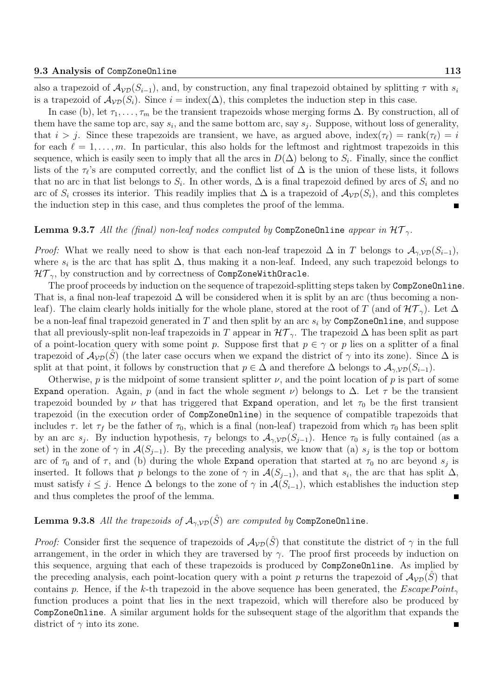also a trapezoid of  $A_{\mathcal{VD}}(S_{i-1})$ , and, by construction, any final trapezoid obtained by splitting  $\tau$  with  $s_i$ is a trapezoid of  $\mathcal{A}_{\mathcal{VD}}(S_i)$ . Since  $i = \text{index}(\Delta)$ , this completes the induction step in this case.

In case (b), let  $\tau_1, \ldots, \tau_m$  be the transient trapezoids whose merging forms  $\Delta$ . By construction, all of them have the same top arc, say  $s_i$ , and the same bottom arc, say  $s_j$ . Suppose, without loss of generality, that  $i > j$ . Since these trapezoids are transient, we have, as argued above, index( $\tau_{\ell}$ ) = rank( $\tau_{\ell}$ ) = i for each  $\ell = 1, \ldots, m$ . In particular, this also holds for the leftmost and rightmost trapezoids in this sequence, which is easily seen to imply that all the arcs in  $D(\Delta)$  belong to  $S_i$ . Finally, since the conflict lists of the  $\tau_{\ell}$ 's are computed correctly, and the conflict list of  $\Delta$  is the union of these lists, it follows that no arc in that list belongs to  $S_i$ . In other words,  $\Delta$  is a final trapezoid defined by arcs of  $S_i$  and no arc of  $S_i$  crosses its interior. This readily implies that  $\Delta$  is a trapezoid of  $\mathcal{A}_{\mathcal{VD}}(S_i)$ , and this completes the induction step in this case, and thus completes the proof of the lemma.

#### **Lemma 9.3.7** All the (final) non-leaf nodes computed by CompZoneOnline appear in  $\mathcal{HT}_{\gamma}$ .

*Proof:* What we really need to show is that each non-leaf trapezoid  $\Delta$  in T belongs to  $\mathcal{A}_{\gamma, \mathcal{V}(\mathcal{S}_{i-1})}$ , where  $s_i$  is the arc that has split  $\Delta$ , thus making it a non-leaf. Indeed, any such trapezoid belongs to  $HT_{\gamma}$ , by construction and by correctness of CompZoneWithOracle.

The proof proceeds by induction on the sequence of trapezoid-splitting steps taken by CompZoneOnline. That is, a final non-leaf trapezoid  $\Delta$  will be considered when it is split by an arc (thus becoming a nonleaf). The claim clearly holds initially for the whole plane, stored at the root of T (and of  $\mathcal{HT}_{\gamma}$ ). Let  $\Delta$ be a non-leaf final trapezoid generated in  $T$  and then split by an arc  $s_i$  by CompZoneOnline, and suppose that all previously-split non-leaf trapezoids in T appear in  $\mathcal{HT}_{\gamma}$ . The trapezoid  $\Delta$  has been split as part of a point-location query with some point p. Suppose first that  $p \in \gamma$  or p lies on a splitter of a final trapezoid of  $\mathcal{A}_{\mathcal{V}\mathcal{D}}(S)$  (the later case occurs when we expand the district of  $\gamma$  into its zone). Since  $\Delta$  is split at that point, it follows by construction that  $p \in \Delta$  and therefore  $\Delta$  belongs to  $\mathcal{A}_{\gamma, \mathcal{VD}}(S_{i-1})$ .

Otherwise, p is the midpoint of some transient splitter  $\nu$ , and the point location of p is part of some Expand operation. Again, p (and in fact the whole segment  $\nu$ ) belongs to  $\Delta$ . Let  $\tau$  be the transient trapezoid bounded by  $\nu$  that has triggered that Expand operation, and let  $\tau_0$  be the first transient trapezoid (in the execution order of CompZoneOnline) in the sequence of compatible trapezoids that includes  $\tau$ . let  $\tau_f$  be the father of  $\tau_0$ , which is a final (non-leaf) trapezoid from which  $\tau_0$  has been split by an arc s<sub>j</sub>. By induction hypothesis,  $\tau_f$  belongs to  $\mathcal{A}_{\gamma,VD}(S_{j-1})$ . Hence  $\tau_0$  is fully contained (as a set) in the zone of  $\gamma$  in  $\mathcal{A}(S_{j-1})$ . By the preceding analysis, we know that (a)  $s_j$  is the top or bottom arc of  $\tau_0$  and of  $\tau$ , and (b) during the whole Expand operation that started at  $\tau_0$  no arc beyond  $s_j$  is inserted. It follows that p belongs to the zone of  $\gamma$  in  $\mathcal{A}(S_{j-1})$ , and that  $s_i$ , the arc that has split  $\Delta$ , must satisfy  $i \leq j$ . Hence  $\Delta$  belongs to the zone of  $\gamma$  in  $\mathcal{A}(S_{i-1})$ , which establishes the induction step and thus completes the proof of the lemma.

### **Lemma 9.3.8** All the trapezoids of  $\mathcal{A}_{\gamma, \mathcal{VD}}(\hat{S})$  are computed by CompZoneOnline.

*Proof:* Consider first the sequence of trapezoids of  $A_{VD}(\hat{S})$  that constitute the district of  $\gamma$  in the full arrangement, in the order in which they are traversed by  $\gamma$ . The proof first proceeds by induction on this sequence, arguing that each of these trapezoids is produced by CompZoneOnline. As implied by the preceding analysis, each point-location query with a point p returns the trapezoid of  $A_{\mathcal{VD}}(S)$  that contains p. Hence, if the k-th trapezoid in the above sequence has been generated, the  $EscapePoint_{\gamma}$ function produces a point that lies in the next trapezoid, which will therefore also be produced by CompZoneOnline. A similar argument holds for the subsequent stage of the algorithm that expands the district of  $\gamma$  into its zone.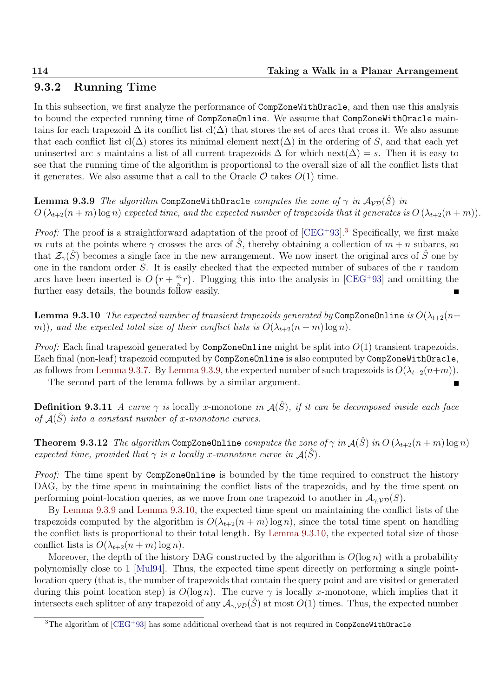## 9.3.2 Running Time

In this subsection, we first analyze the performance of CompZoneWithOracle, and then use this analysis to bound the expected running time of CompZoneOnline. We assume that CompZoneWithOracle maintains for each trapezoid  $\Delta$  its conflict list cl( $\Delta$ ) that stores the set of arcs that cross it. We also assume that each conflict list cl( $\Delta$ ) stores its minimal element next( $\Delta$ ) in the ordering of S, and that each yet uninserted arc s maintains a list of all current trapezoids  $\Delta$  for which next( $\Delta$ ) = s. Then it is easy to see that the running time of the algorithm is proportional to the overall size of all the conflict lists that it generates. We also assume that a call to the Oracle  $\mathcal O$  takes  $O(1)$  time.

**Lemma 9.3.9** The algorithm CompZoneWithOracle computes the zone of  $\gamma$  in  $\mathcal{A}_{VD}(\hat{S})$  in  $O(\lambda_{t+2}(n+m) \log n)$  expected time, and the expected number of trapezoids that it generates is  $O(\lambda_{t+2}(n+m))$ .

*Proof:* The proof is a straightforward adaptation of the proof of  $[CEG+93]$ <sup>3</sup>. Specifically, we first make m cuts at the points where  $\gamma$  crosses the arcs of  $\tilde{S}$ , thereby obtaining a collection of  $m + n$  subarcs, so that  $\mathcal{Z}_{\gamma}(\tilde{S})$  becomes a single face in the new arrangement. We now insert the original arcs of  $\tilde{S}$  one by one in the random order  $S$ . It is easily checked that the expected number of subarcs of the  $r$  random arcs have been inserted is  $O(r + \frac{m}{n})$  $\frac{m}{n}r$ ). Plugging this into the analysis in [CEG<sup>+93]</sup> and omitting the further easy details, the bounds follow easily.

**Lemma 9.3.10** The expected number of transient trapezoids generated by CompZoneOnline is  $O(\lambda_{t+2}(n+1))$ m)), and the expected total size of their conflict lists is  $O(\lambda_{t+2}(n+m)\log n)$ .

*Proof:* Each final trapezoid generated by CompZoneOnline might be split into  $O(1)$  transient trapezoids. Each final (non-leaf) trapezoid computed by CompZoneOnline is also computed by CompZoneWithOracle, as follows from Lemma 9.3.7. By Lemma 9.3.9, the expected number of such trapezoids is  $O(\lambda_{t+2}(n+m))$ .

The second part of the lemma follows by a similar argument.

**Definition 9.3.11** A curve  $\gamma$  is locally x-monotone in  $\mathcal{A}(\hat{S})$ , if it can be decomposed inside each face of  $\mathcal{A}(\hat{S})$  into a constant number of x-monotone curves.

**Theorem 9.3.12** The algorithm CompZoneOnline computes the zone of  $\gamma$  in  $\mathcal{A}(\hat{S})$  in  $O(\lambda_{t+2}(n+m)\log n)$ expected time, provided that  $\gamma$  is a locally x-monotone curve in  $\mathcal{A}(\hat{S})$ .

Proof: The time spent by CompZoneOnline is bounded by the time required to construct the history DAG, by the time spent in maintaining the conflict lists of the trapezoids, and by the time spent on performing point-location queries, as we move from one trapezoid to another in  $\mathcal{A}_{\gamma,\mathcal{VD}}(S)$ .

By Lemma 9.3.9 and Lemma 9.3.10, the expected time spent on maintaining the conflict lists of the trapezoids computed by the algorithm is  $O(\lambda_{t+2}(n+m) \log n)$ , since the total time spent on handling the conflict lists is proportional to their total length. By Lemma 9.3.10, the expected total size of those conflict lists is  $O(\lambda_{t+2}(n+m) \log n)$ .

Moreover, the depth of the history DAG constructed by the algorithm is  $O(\log n)$  with a probability polynomially close to 1 [Mul94]. Thus, the expected time spent directly on performing a single pointlocation query (that is, the number of trapezoids that contain the query point and are visited or generated during this point location step) is  $O(\log n)$ . The curve  $\gamma$  is locally x-monotone, which implies that it intersects each splitter of any trapezoid of any  $\mathcal{A}_{\gamma,VD}(\hat{S})$  at most  $O(1)$  times. Thus, the expected number

 $3$ The algorithm of  $[CEG+93]$  has some additional overhead that is not required in CompZoneWithOracle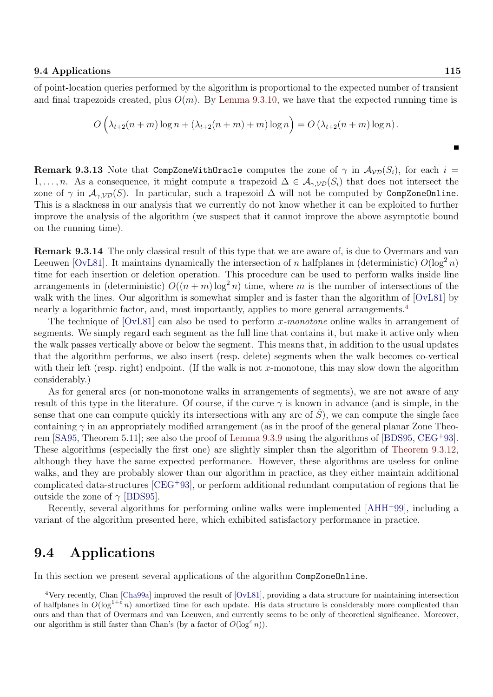П

of point-location queries performed by the algorithm is proportional to the expected number of transient and final trapezoids created, plus  $O(m)$ . By Lemma 9.3.10, we have that the expected running time is

$$
O\left(\lambda_{t+2}(n+m)\log n + (\lambda_{t+2}(n+m)+m)\log n\right) = O\left(\lambda_{t+2}(n+m)\log n\right).
$$

**Remark 9.3.13** Note that CompZoneWithOracle computes the zone of  $\gamma$  in  $\mathcal{A}_{V,D}(S_i)$ , for each  $i =$ 1, ..., *n*. As a consequence, it might compute a trapezoid  $\Delta \in A_{\gamma, \mathcal{VD}}(S_i)$  that does not intersect the zone of  $\gamma$  in  $\mathcal{A}_{\gamma, \mathcal{VD}}(S)$ . In particular, such a trapezoid  $\Delta$  will not be computed by CompZoneOnline. This is a slackness in our analysis that we currently do not know whether it can be exploited to further improve the analysis of the algorithm (we suspect that it cannot improve the above asymptotic bound on the running time).

Remark 9.3.14 The only classical result of this type that we are aware of, is due to Overmars and van Leeuwen [OvL81]. It maintains dynamically the intersection of n halfplanes in (deterministic)  $O(\log^2 n)$ time for each insertion or deletion operation. This procedure can be used to perform walks inside line arrangements in (deterministic)  $O((n+m)\log^2 n)$  time, where m is the number of intersections of the walk with the lines. Our algorithm is somewhat simpler and is faster than the algorithm of [OvL81] by nearly a logarithmic factor, and, most importantly, applies to more general arrangements.<sup>4</sup>

The technique of  $[OvL81]$  can also be used to perform x-monotone online walks in arrangement of segments. We simply regard each segment as the full line that contains it, but make it active only when the walk passes vertically above or below the segment. This means that, in addition to the usual updates that the algorithm performs, we also insert (resp. delete) segments when the walk becomes co-vertical with their left (resp. right) endpoint. (If the walk is not x-monotone, this may slow down the algorithm considerably.)

As for general arcs (or non-monotone walks in arrangements of segments), we are not aware of any result of this type in the literature. Of course, if the curve  $\gamma$  is known in advance (and is simple, in the sense that one can compute quickly its intersections with any arc of  $\hat{S}$ ), we can compute the single face containing  $\gamma$  in an appropriately modified arrangement (as in the proof of the general planar Zone Theorem [SA95, Theorem 5.11]; see also the proof of Lemma 9.3.9 using the algorithms of [BDS95, CEG<sup>+</sup>93]. These algorithms (especially the first one) are slightly simpler than the algorithm of Theorem 9.3.12, although they have the same expected performance. However, these algorithms are useless for online walks, and they are probably slower than our algorithm in practice, as they either maintain additional complicated data-structures [CEG<sup>+</sup>93], or perform additional redundant computation of regions that lie outside the zone of  $\gamma$  [BDS95].

Recently, several algorithms for performing online walks were implemented [AHH<sup>+</sup>99], including a variant of the algorithm presented here, which exhibited satisfactory performance in practice.

## 9.4 Applications

In this section we present several applications of the algorithm CompZoneOnline.

<sup>4</sup>Very recently, Chan [Cha99a] improved the result of [OvL81], providing a data structure for maintaining intersection of halfplanes in  $O(\log^{1+\epsilon} n)$  amortized time for each update. His data structure is considerably more complicated than ours and than that of Overmars and van Leeuwen, and currently seems to be only of theoretical significance. Moreover, our algorithm is still faster than Chan's (by a factor of  $O(\log^{\epsilon} n)$ ).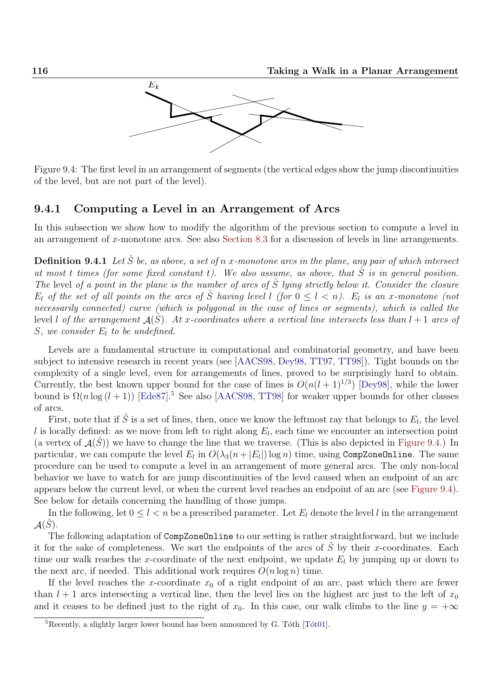

Figure 9.4: The first level in an arrangement of segments (the vertical edges show the jump discontinuities of the level, but are not part of the level).

### 9.4.1 Computing a Level in an Arrangement of Arcs

In this subsection we show how to modify the algorithm of the previous section to compute a level in an arrangement of x-monotone arcs. See also Section 8.3 for a discussion of levels in line arrangements.

**Definition 9.4.1** Let  $\hat{S}$  be, as above, a set of n x-monotone arcs in the plane, any pair of which intersect at most t times (for some fixed constant t). We also assume, as above, that  $\hat{S}$  is in general position. The level of a point in the plane is the number of arcs of  $\hat{S}$  lying strictly below it. Consider the closure  $E_l$  of the set of all points on the arcs of  $\hat{S}$  having level l (for  $0 \leq l \leq n$ ).  $E_l$  is an x-monotone (not necessarily connected) curve (which is polygonal in the case of lines or segments), which is called the level l of the arrangement  $\mathcal{A}(\hat{S})$ . At x-coordinates where a vertical line intersects less than  $l+1$  arcs of S, we consider  $E_l$  to be undefined.

Levels are a fundamental structure in computational and combinatorial geometry, and have been subject to intensive research in recent years (see [AACS98, Dey98, TT97, TT98]). Tight bounds on the complexity of a single level, even for arrangements of lines, proved to be surprisingly hard to obtain. Currently, the best known upper bound for the case of lines is  $O(n(l+1)^{1/3})$  [Dey98], while the lower bound is  $\Omega(n \log (l + 1))$  [Ede87].<sup>5</sup> See also [AACS98, TT98] for weaker upper bounds for other classes of arcs.

First, note that if  $\hat{S}$  is a set of lines, then, once we know the leftmost ray that belongs to  $E_l$ , the level l is locally defined: as we move from left to right along  $E_l$ , each time we encounter an intersection point (a vertex of  $\mathcal{A}(\hat{S})$ ) we have to change the line that we traverse. (This is also depicted in Figure 9.4.) In particular, we can compute the level  $E_l$  in  $O(\lambda_3(n+|E_l|)\log n)$  time, using CompZoneOnline. The same procedure can be used to compute a level in an arrangement of more general arcs. The only non-local behavior we have to watch for are jump discontinuities of the level caused when an endpoint of an arc appears below the current level, or when the current level reaches an endpoint of an arc (see Figure 9.4). See below for details concerning the handling of those jumps.

In the following, let  $0 \leq l \leq n$  be a prescribed parameter. Let  $E_l$  denote the level l in the arrangement  $\mathcal{A}(\hat{S})$ .

The following adaptation of CompZoneOnline to our setting is rather straightforward, but we include it for the sake of completeness. We sort the endpoints of the arcs of  $\hat{S}$  by their x-coordinates. Each time our walk reaches the x-coordinate of the next endpoint, we update  $E_l$  by jumping up or down to the next arc, if needed. This additional work requires  $O(n \log n)$  time.

If the level reaches the x-coordinate  $x_0$  of a right endpoint of an arc, past which there are fewer than  $l + 1$  arcs intersecting a vertical line, then the level lies on the highest arc just to the left of  $x_0$ and it ceases to be defined just to the right of  $x_0$ . In this case, our walk climbs to the line  $y = +\infty$ 

 $5$ Recently, a slightly larger lower bound has been announced by G. Tóth [Tót01].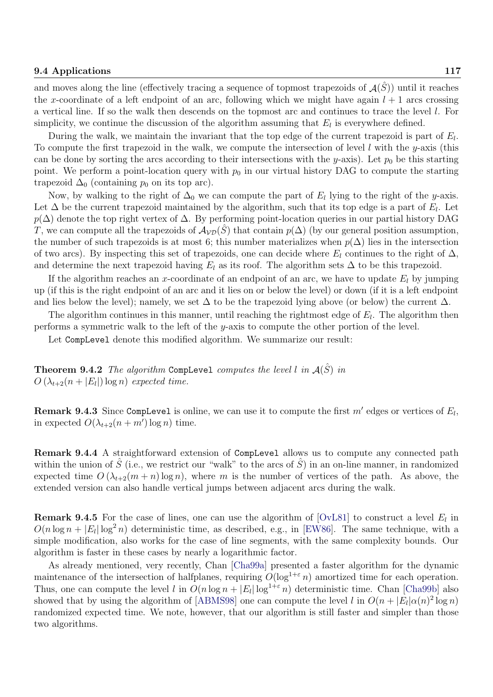#### 9.4 Applications 117

and moves along the line (effectively tracing a sequence of topmost trapezoids of  $\mathcal{A}(\hat{S})$ ) until it reaches the x-coordinate of a left endpoint of an arc, following which we might have again  $l + 1$  arcs crossing a vertical line. If so the walk then descends on the topmost arc and continues to trace the level l. For simplicity, we continue the discussion of the algorithm assuming that  $E_l$  is everywhere defined.

During the walk, we maintain the invariant that the top edge of the current trapezoid is part of  $E_l$ . To compute the first trapezoid in the walk, we compute the intersection of level  $l$  with the y-axis (this can be done by sorting the arcs according to their intersections with the y-axis). Let  $p_0$  be this starting point. We perform a point-location query with  $p_0$  in our virtual history DAG to compute the starting trapezoid  $\Delta_0$  (containing  $p_0$  on its top arc).

Now, by walking to the right of  $\Delta_0$  we can compute the part of  $E_l$  lying to the right of the y-axis. Let  $\Delta$  be the current trapezoid maintained by the algorithm, such that its top edge is a part of  $E_l$ . Let  $p(\Delta)$  denote the top right vertex of  $\Delta$ . By performing point-location queries in our partial history DAG T, we can compute all the trapezoids of  $\mathcal{A}_{\mathcal{VD}}(\hat{S})$  that contain  $p(\Delta)$  (by our general position assumption, the number of such trapezoids is at most 6; this number materializes when  $p(\Delta)$  lies in the intersection of two arcs). By inspecting this set of trapezoids, one can decide where  $E_l$  continues to the right of  $\Delta$ , and determine the next trapezoid having  $E_l$  as its roof. The algorithm sets  $\Delta$  to be this trapezoid.

If the algorithm reaches an x-coordinate of an endpoint of an arc, we have to update  $E_l$  by jumping up (if this is the right endpoint of an arc and it lies on or below the level) or down (if it is a left endpoint and lies below the level); namely, we set  $\Delta$  to be the trapezoid lying above (or below) the current  $\Delta$ .

The algorithm continues in this manner, until reaching the rightmost edge of  $E_l$ . The algorithm then performs a symmetric walk to the left of the y-axis to compute the other portion of the level.

Let CompLevel denote this modified algorithm. We summarize our result:

**Theorem 9.4.2** The algorithm Complevel computes the level l in  $A(\hat{S})$  in  $O\left(\lambda_{t+2}(n+|E_l|)\log n\right)$  expected time.

**Remark 9.4.3** Since CompLevel is online, we can use it to compute the first  $m'$  edges or vertices of  $E_l$ , in expected  $O(\lambda_{t+2}(n+m')\log n)$  time.

Remark 9.4.4 A straightforward extension of CompLevel allows us to compute any connected path within the union of  $\hat{S}$  (i.e., we restrict our "walk" to the arcs of  $\hat{S}$ ) in an on-line manner, in randomized expected time  $O(\lambda_{t+2}(m+n) \log n)$ , where m is the number of vertices of the path. As above, the extended version can also handle vertical jumps between adjacent arcs during the walk.

**Remark 9.4.5** For the case of lines, one can use the algorithm of [OvL81] to construct a level  $E_l$  in  $O(n \log n + |E_l| \log^2 n)$  deterministic time, as described, e.g., in [EW86]. The same technique, with a simple modification, also works for the case of line segments, with the same complexity bounds. Our algorithm is faster in these cases by nearly a logarithmic factor.

As already mentioned, very recently, Chan [Cha99a] presented a faster algorithm for the dynamic maintenance of the intersection of halfplanes, requiring  $O(\log^{1+\epsilon} n)$  amortized time for each operation. Thus, one can compute the level l in  $O(n \log n + |E_l| \log^{1+\epsilon} n)$  deterministic time. Chan [Cha99b] also showed that by using the algorithm of [ABMS98] one can compute the level l in  $O(n + |E_l| \alpha(n)^2 \log n)$ randomized expected time. We note, however, that our algorithm is still faster and simpler than those two algorithms.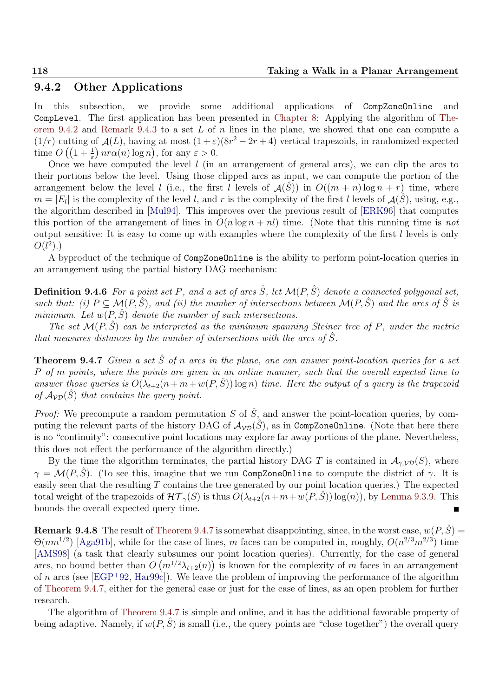## 9.4.2 Other Applications

In this subsection, we provide some additional applications of CompZoneOnline and CompLevel. The first application has been presented in Chapter 8: Applying the algorithm of Theorem 9.4.2 and Remark 9.4.3 to a set L of n lines in the plane, we showed that one can compute a  $(1/r)$ -cutting of  $\mathcal{A}(L)$ , having at most  $(1+\varepsilon)(8r^2-2r+4)$  vertical trapezoids, in randomized expected time  $O\left(\left(1+\frac{1}{\varepsilon}\right)n r \alpha(n) \log n\right)$ , for any  $\varepsilon > 0$ .

Once we have computed the level  $l$  (in an arrangement of general arcs), we can clip the arcs to their portions below the level. Using those clipped arcs as input, we can compute the portion of the arrangement below the level l (i.e., the first l levels of  $\mathcal{A}(\hat{S})$ ) in  $O((m + n) \log n + r)$  time, where  $m = |E_l|$  is the complexity of the level l, and r is the complexity of the first l levels of  $\mathcal{A}(\hat{S})$ , using, e.g., the algorithm described in [Mul94]. This improves over the previous result of [ERK96] that computes this portion of the arrangement of lines in  $O(n \log n + nl)$  time. (Note that this running time is not output sensitive: It is easy to come up with examples where the complexity of the first l levels is only  $O(l^2)$ .)

A byproduct of the technique of CompZoneOnline is the ability to perform point-location queries in an arrangement using the partial history DAG mechanism:

**Definition 9.4.6** For a point set P, and a set of arcs  $\hat{S}$ , let  $\mathcal{M}(P, \hat{S})$  denote a connected polygonal set, such that: (i)  $P \subseteq \mathcal{M}(P, \hat{S})$ , and (ii) the number of intersections between  $\mathcal{M}(P, \hat{S})$  and the arcs of  $\hat{S}$  is minimum. Let  $w(P, \hat{S})$  denote the number of such intersections.

The set  $\mathcal{M}(P, \hat{S})$  can be interpreted as the minimum spanning Steiner tree of P, under the metric that measures distances by the number of intersections with the arcs of  $\hat{S}$ .

**Theorem 9.4.7** Given a set  $\hat{S}$  of n arcs in the plane, one can answer point-location queries for a set P of m points, where the points are given in an online manner, such that the overall expected time to answer those queries is  $O(\lambda_{t+2}(n+m+w(P,\hat{S}))\log n)$  time. Here the output of a query is the trapezoid of  $A_{VD}(\hat{S})$  that contains the query point.

*Proof:* We precompute a random permutation S of  $\hat{S}$ , and answer the point-location queries, by computing the relevant parts of the history DAG of  $A_{VD}(\hat{S})$ , as in CompZoneOnline. (Note that here there is no "continuity": consecutive point locations may explore far away portions of the plane. Nevertheless, this does not effect the performance of the algorithm directly.)

By the time the algorithm terminates, the partial history DAG T is contained in  $\mathcal{A}_{\gamma,\mathcal{VD}}(S)$ , where  $\gamma = \mathcal{M}(P, \hat{S})$ . (To see this, imagine that we run CompZoneOnline to compute the district of  $\gamma$ . It is easily seen that the resulting T contains the tree generated by our point location queries.) The expected total weight of the trapezoids of  $\mathcal{HT}_{\gamma}(S)$  is thus  $O(\lambda_{t+2}(n+m+w(P,\hat{S})) \log(n))$ , by Lemma 9.3.9. This bounds the overall expected query time.

**Remark 9.4.8** The result of Theorem 9.4.7 is somewhat disappointing, since, in the worst case,  $w(P, \hat{S})$  =  $\Theta(nm^{1/2})$  [Aga91b], while for the case of lines, m faces can be computed in, roughly,  $O(n^{2/3}m^{2/3})$  time [AMS98] (a task that clearly subsumes our point location queries). Currently, for the case of general arcs, no bound better than  $O(m^{1/2}\lambda_{t+2}(n))$  is known for the complexity of m faces in an arrangement of n arcs (see [EGP+92, Hargge]). We leave the problem of improving the performance of the algorithm of Theorem 9.4.7, either for the general case or just for the case of lines, as an open problem for further research.

The algorithm of Theorem 9.4.7 is simple and online, and it has the additional favorable property of being adaptive. Namely, if  $w(P, \hat{S})$  is small (i.e., the query points are "close together") the overall query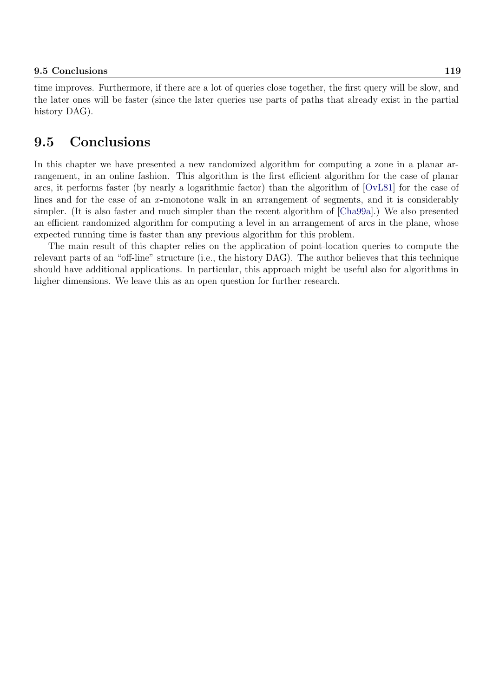time improves. Furthermore, if there are a lot of queries close together, the first query will be slow, and the later ones will be faster (since the later queries use parts of paths that already exist in the partial history DAG).

# 9.5 Conclusions

In this chapter we have presented a new randomized algorithm for computing a zone in a planar arrangement, in an online fashion. This algorithm is the first efficient algorithm for the case of planar arcs, it performs faster (by nearly a logarithmic factor) than the algorithm of [OvL81] for the case of lines and for the case of an x-monotone walk in an arrangement of segments, and it is considerably simpler. (It is also faster and much simpler than the recent algorithm of [Cha99a].) We also presented an efficient randomized algorithm for computing a level in an arrangement of arcs in the plane, whose expected running time is faster than any previous algorithm for this problem.

The main result of this chapter relies on the application of point-location queries to compute the relevant parts of an "off-line" structure (i.e., the history DAG). The author believes that this technique should have additional applications. In particular, this approach might be useful also for algorithms in higher dimensions. We leave this as an open question for further research.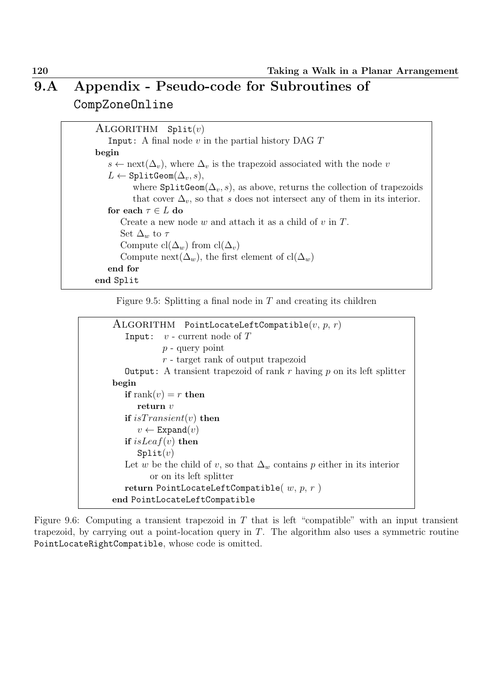# 9.A Appendix - Pseudo-code for Subroutines of CompZoneOnline

 $ALGORITHM$  Split $(v)$ Input: A final node  $v$  in the partial history DAG  $T$ begin  $s \leftarrow \text{next}(\Delta_v)$ , where  $\Delta_v$  is the trapezoid associated with the node v  $L \leftarrow$  SplitGeom( $\Delta_v$ , s), where  $\text{SplitGeom}(\Delta_{v}, s)$ , as above, returns the collection of trapezoids that cover  $\Delta_v$ , so that s does not intersect any of them in its interior. for each  $\tau \in L$  do Create a new node  $w$  and attach it as a child of  $v$  in  $T$ . Set  $\Delta_w$  to  $\tau$ Compute  $\text{cl}(\Delta_w)$  from  $\text{cl}(\Delta_v)$ Compute next( $\Delta_w$ ), the first element of cl( $\Delta_w$ ) end for end Split

Figure 9.5: Splitting a final node in  $T$  and creating its children

```
ALGORITHM PointLocateLeftCompatible(v, p, r)Input: v - current node of Tp - query point
            r - target rank of output trapezoid
  Output: A transient trapezoid of rank r having p on its left splitter
begin
  if rank(v) = r then
     return v
  if isTransient(v) then
      v \leftarrow Expand(v)if isLeaf(v) then
     Split(v)Let w be the child of v, so that \Delta_w contains p either in its interior
         or on its left splitter
   return PointLocateLeftCompatible(w, p, r)
end PointLocateLeftCompatible
```
Figure 9.6: Computing a transient trapezoid in  $T$  that is left "compatible" with an input transient trapezoid, by carrying out a point-location query in  $T$ . The algorithm also uses a symmetric routine PointLocateRightCompatible, whose code is omitted.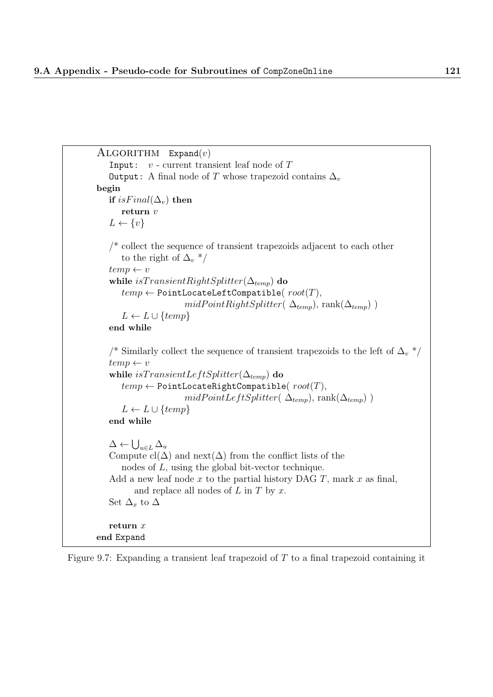```
ALGORITHM Expand(v)Input: v - current transient leaf node of TOutput: A final node of T whose trapezoid contains \Delta_vbegin
   if isFinal(\Delta_v) then
      return vL \leftarrow \{v\}/* collect the sequence of transient trapezoids adjacent to each other
       to the right of \Delta_{v} */
   temp \leftarrow vwhile isTransientRightSplitter(\Delta_{temp}) do
       temp \leftarrow PointLocateLeftCompatible(root(T),
                        midPointRightSplitter(\Delta_{temp}), rank(\Delta_{temp}))
       L \leftarrow L \cup \{temp\}end while
   /* Similarly collect the sequence of transient trapezoids to the left of \Delta_v */
   temp \leftarrow vwhile isTransientLeftSplitter(\Delta_{temp}) do
       temp \leftarrow PointLocateRightCompatible(root(T),
                        midPointLeftSplitter(\Delta_{temp}), rank(\Delta_{temp}))
       L \leftarrow L \cup \{temp\}end while
   \Delta \leftarrow \bigcup_{u \in L} \Delta_uCompute \text{cl}(\Delta) and \text{next}(\Delta) from the conflict lists of the
       nodes of L, using the global bit-vector technique.
   Add a new leaf node x to the partial history DAG T, mark x as final,
          and replace all nodes of L in T by x.
   Set \Delta_x to \Deltareturn x
end Expand
```
Figure 9.7: Expanding a transient leaf trapezoid of  $T$  to a final trapezoid containing it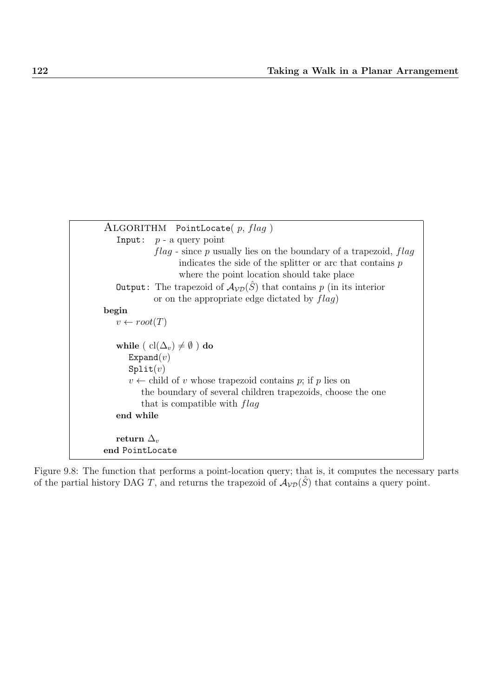

Figure 9.8: The function that performs a point-location query; that is, it computes the necessary parts of the partial history DAG T, and returns the trapezoid of  $A_{\mathcal{VD}}(\hat{S})$  that contains a query point.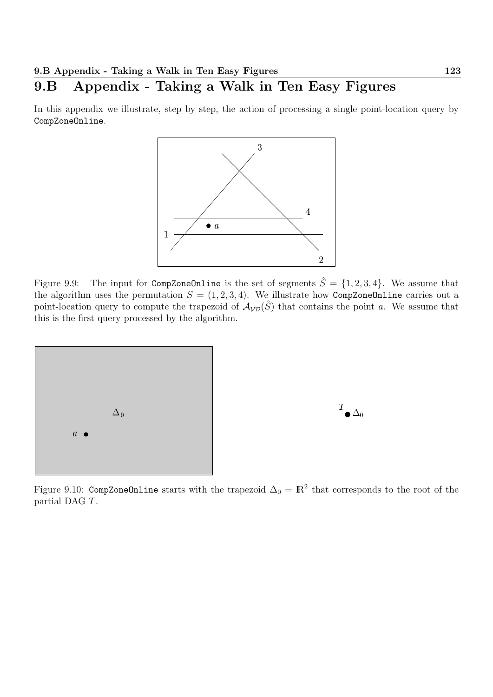## 9.B Appendix - Taking a Walk in Ten Easy Figures

In this appendix we illustrate, step by step, the action of processing a single point-location query by CompZoneOnline.



Figure 9.9: The input for CompZoneOnline is the set of segments  $\hat{S} = \{1, 2, 3, 4\}$ . We assume that the algorithm uses the permutation  $S = (1, 2, 3, 4)$ . We illustrate how CompZoneOnline carries out a point-location query to compute the trapezoid of  $A_{\mathcal{VD}}(\hat{S})$  that contains the point a. We assume that this is the first query processed by the algorithm.





Figure 9.10: CompZoneOnline starts with the trapezoid  $\Delta_0 = \mathbb{R}^2$  that corresponds to the root of the partial DAG T.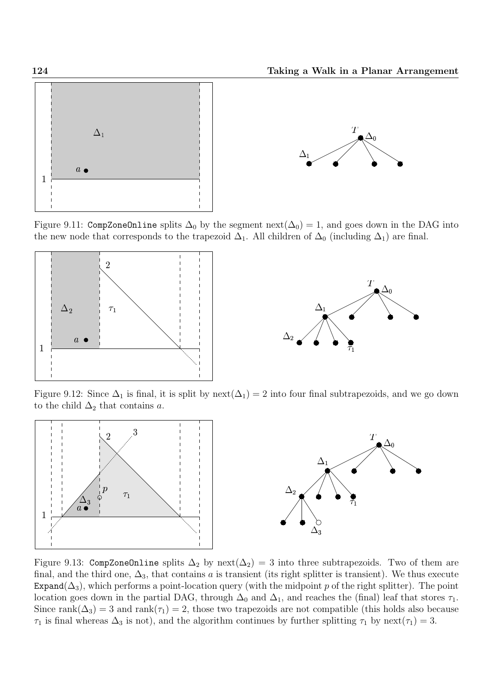



Figure 9.11: CompZoneOnline splits  $\Delta_0$  by the segment next( $\Delta_0$ ) = 1, and goes down in the DAG into the new node that corresponds to the trapezoid  $\Delta_1$ . All children of  $\Delta_0$  (including  $\Delta_1$ ) are final.





Figure 9.12: Since  $\Delta_1$  is final, it is split by next( $\Delta_1$ ) = 2 into four final subtrapezoids, and we go down to the child  $\Delta_2$  that contains a.



Figure 9.13: CompZoneOnline splits  $\Delta_2$  by next( $\Delta_2$ ) = 3 into three subtrapezoids. Two of them are final, and the third one,  $\Delta_3$ , that contains a is transient (its right splitter is transient). We thus execute Expand( $\Delta_3$ ), which performs a point-location query (with the midpoint p of the right splitter). The point location goes down in the partial DAG, through  $\Delta_0$  and  $\Delta_1$ , and reaches the (final) leaf that stores  $\tau_1$ . Since rank( $\Delta_3$ ) = 3 and rank( $\tau_1$ ) = 2, those two trapezoids are not compatible (this holds also because  $\tau_1$  is final whereas  $\Delta_3$  is not), and the algorithm continues by further splitting  $\tau_1$  by next( $\tau_1$ ) = 3.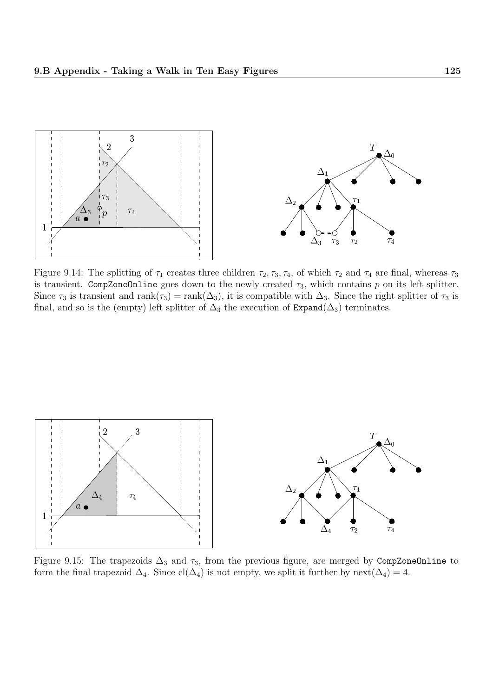

Figure 9.14: The splitting of  $\tau_1$  creates three children  $\tau_2, \tau_3, \tau_4$ , of which  $\tau_2$  and  $\tau_4$  are final, whereas  $\tau_3$ is transient. CompZoneOnline goes down to the newly created  $\tau_3$ , which contains p on its left splitter. Since  $\tau_3$  is transient and rank $(\tau_3)$  = rank $(\Delta_3)$ , it is compatible with  $\Delta_3$ . Since the right splitter of  $\tau_3$  is final, and so is the (empty) left splitter of  $\Delta_3$  the execution of Expand( $\Delta_3$ ) terminates.



Figure 9.15: The trapezoids  $\Delta_3$  and  $\tau_3$ , from the previous figure, are merged by CompZoneOnline to form the final trapezoid  $\Delta_4$ . Since cl( $\Delta_4$ ) is not empty, we split it further by next( $\Delta_4$ ) = 4.